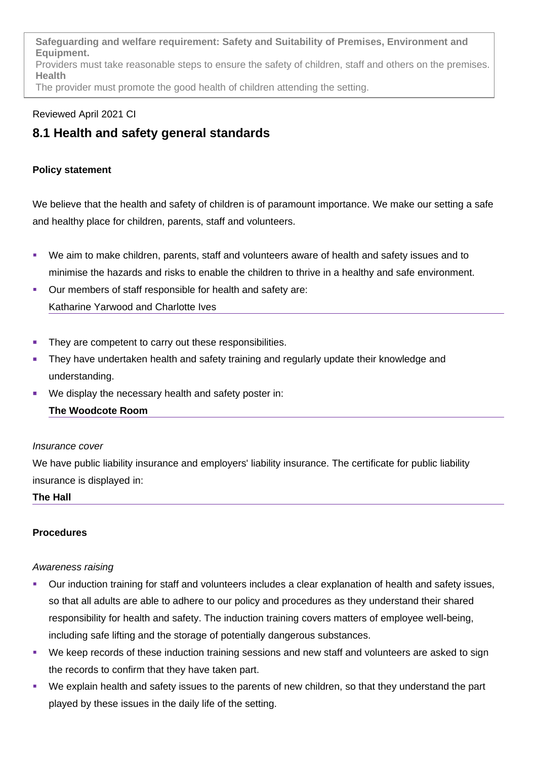**Safeguarding and welfare requirement: Safety and Suitability of Premises, Environment and Equipment.** Providers must take reasonable steps to ensure the safety of children, staff and others on the premises. **Health** The provider must promote the good health of children attending the setting.

# Reviewed April 2021 CI

# **8.1 Health and safety general standards**

# **Policy statement**

We believe that the health and safety of children is of paramount importance. We make our setting a safe and healthy place for children, parents, staff and volunteers.

- We aim to make children, parents, staff and volunteers aware of health and safety issues and to minimise the hazards and risks to enable the children to thrive in a healthy and safe environment.
- Our members of staff responsible for health and safety are: Katharine Yarwood and Charlotte Ives
- They are competent to carry out these responsibilities.
- They have undertaken health and safety training and regularly update their knowledge and understanding.
- We display the necessary health and safety poster in:

# **The Woodcote Room**

# *Insurance cover*

We have public liability insurance and employers' liability insurance. The certificate for public liability insurance is displayed in:

# **The Hall**

# **Procedures**

# *Awareness raising*

- Our induction training for staff and volunteers includes a clear explanation of health and safety issues, so that all adults are able to adhere to our policy and procedures as they understand their shared responsibility for health and safety. The induction training covers matters of employee well-being, including safe lifting and the storage of potentially dangerous substances.
- We keep records of these induction training sessions and new staff and volunteers are asked to sign the records to confirm that they have taken part.
- We explain health and safety issues to the parents of new children, so that they understand the part played by these issues in the daily life of the setting.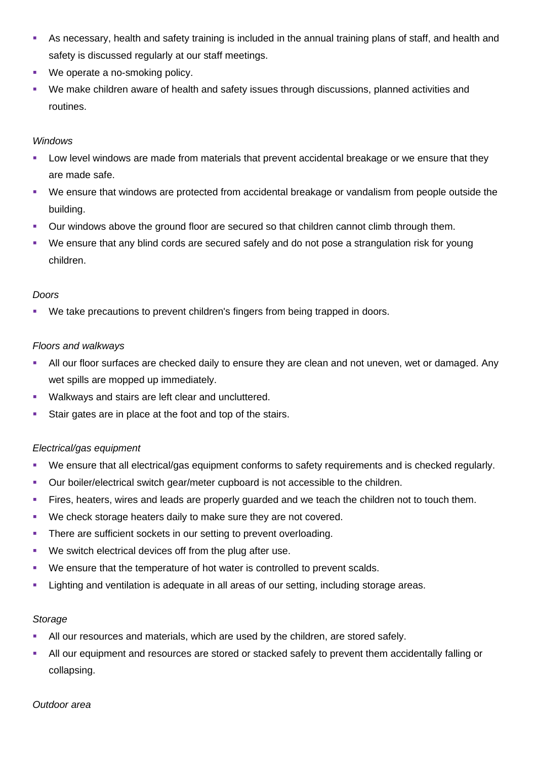- As necessary, health and safety training is included in the annual training plans of staff, and health and safety is discussed regularly at our staff meetings.
- We operate a no-smoking policy.
- We make children aware of health and safety issues through discussions, planned activities and routines.

#### *Windows*

- Low level windows are made from materials that prevent accidental breakage or we ensure that they are made safe.
- We ensure that windows are protected from accidental breakage or vandalism from people outside the building.
- Our windows above the ground floor are secured so that children cannot climb through them.
- We ensure that any blind cords are secured safely and do not pose a strangulation risk for young children.

#### *Doors*

We take precautions to prevent children's fingers from being trapped in doors.

#### *Floors and walkways*

- All our floor surfaces are checked daily to ensure they are clean and not uneven, wet or damaged. Any wet spills are mopped up immediately.
- Walkways and stairs are left clear and uncluttered.
- Stair gates are in place at the foot and top of the stairs.

# *Electrical/gas equipment*

- We ensure that all electrical/gas equipment conforms to safety requirements and is checked regularly.
- Our boiler/electrical switch gear/meter cupboard is not accessible to the children.
- Fires, heaters, wires and leads are properly guarded and we teach the children not to touch them.
- We check storage heaters daily to make sure they are not covered.
- There are sufficient sockets in our setting to prevent overloading.
- We switch electrical devices off from the plug after use.
- We ensure that the temperature of hot water is controlled to prevent scalds.
- **EXECT 1** Lighting and ventilation is adequate in all areas of our setting, including storage areas.

# *Storage*

- All our resources and materials, which are used by the children, are stored safely.
- All our equipment and resources are stored or stacked safely to prevent them accidentally falling or collapsing.

*Outdoor area*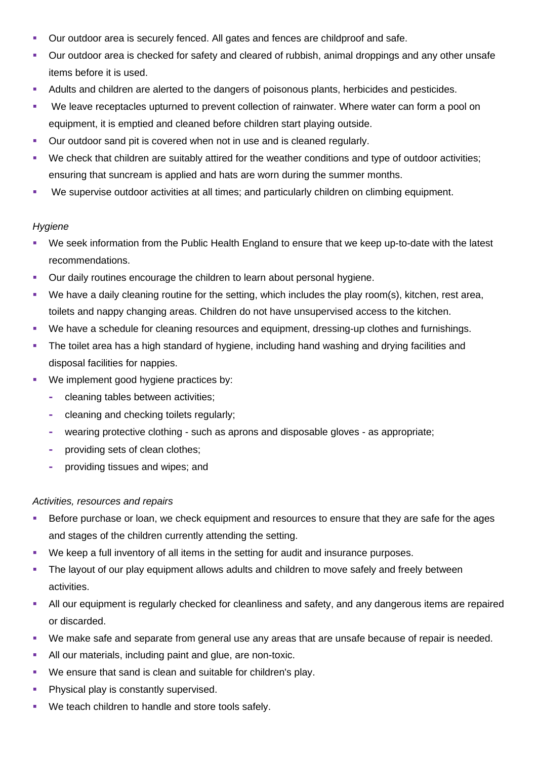- Our outdoor area is securely fenced. All gates and fences are childproof and safe.
- Our outdoor area is checked for safety and cleared of rubbish, animal droppings and any other unsafe items before it is used.
- Adults and children are alerted to the dangers of poisonous plants, herbicides and pesticides.
- We leave receptacles upturned to prevent collection of rainwater. Where water can form a pool on equipment, it is emptied and cleaned before children start playing outside.
- Our outdoor sand pit is covered when not in use and is cleaned regularly.
- We check that children are suitably attired for the weather conditions and type of outdoor activities; ensuring that suncream is applied and hats are worn during the summer months.
- We supervise outdoor activities at all times; and particularly children on climbing equipment.

#### *Hygiene*

- We seek information from the Public Health England to ensure that we keep up-to-date with the latest recommendations.
- Our daily routines encourage the children to learn about personal hygiene.
- We have a daily cleaning routine for the setting, which includes the play room(s), kitchen, rest area, toilets and nappy changing areas. Children do not have unsupervised access to the kitchen.
- We have a schedule for cleaning resources and equipment, dressing-up clothes and furnishings.
- The toilet area has a high standard of hygiene, including hand washing and drying facilities and disposal facilities for nappies.
- **We implement good hygiene practices by:** 
	- **-** cleaning tables between activities;
	- **-** cleaning and checking toilets regularly;
	- **-** wearing protective clothing such as aprons and disposable gloves as appropriate;
	- **-** providing sets of clean clothes;
	- **-** providing tissues and wipes; and

#### *Activities, resources and repairs*

- Before purchase or loan, we check equipment and resources to ensure that they are safe for the ages and stages of the children currently attending the setting.
- We keep a full inventory of all items in the setting for audit and insurance purposes.
- The layout of our play equipment allows adults and children to move safely and freely between activities.
- All our equipment is regularly checked for cleanliness and safety, and any dangerous items are repaired or discarded.
- We make safe and separate from general use any areas that are unsafe because of repair is needed.
- All our materials, including paint and glue, are non-toxic.
- We ensure that sand is clean and suitable for children's play.
- Physical play is constantly supervised.
- **We teach children to handle and store tools safely.**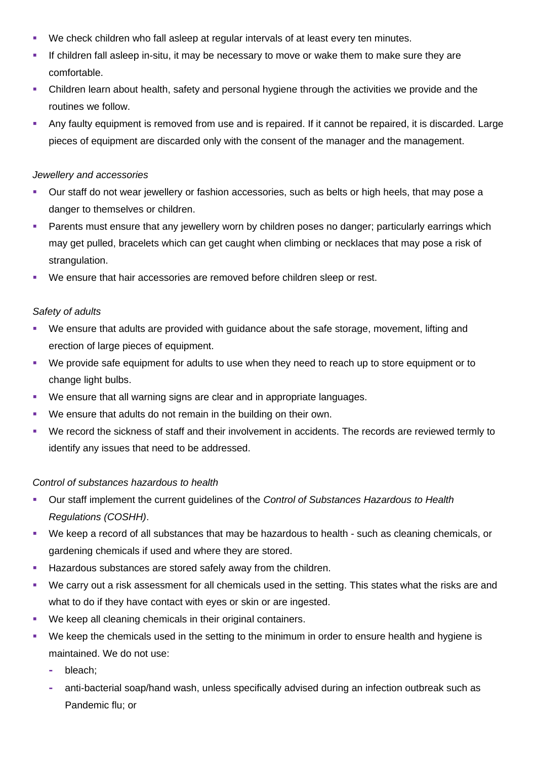- We check children who fall asleep at regular intervals of at least every ten minutes.
- If children fall asleep in-situ, it may be necessary to move or wake them to make sure they are comfortable.
- Children learn about health, safety and personal hygiene through the activities we provide and the routines we follow.
- Any faulty equipment is removed from use and is repaired. If it cannot be repaired, it is discarded. Large pieces of equipment are discarded only with the consent of the manager and the management.

#### *Jewellery and accessories*

- Our staff do not wear jewellery or fashion accessories, such as belts or high heels, that may pose a danger to themselves or children.
- Parents must ensure that any jewellery worn by children poses no danger; particularly earrings which may get pulled, bracelets which can get caught when climbing or necklaces that may pose a risk of strangulation.
- We ensure that hair accessories are removed before children sleep or rest.

# *Safety of adults*

- We ensure that adults are provided with guidance about the safe storage, movement, lifting and erection of large pieces of equipment.
- We provide safe equipment for adults to use when they need to reach up to store equipment or to change light bulbs.
- We ensure that all warning signs are clear and in appropriate languages.
- We ensure that adults do not remain in the building on their own.
- We record the sickness of staff and their involvement in accidents. The records are reviewed termly to identify any issues that need to be addressed.

# *Control of substances hazardous to health*

- Our staff implement the current guidelines of the *Control of Substances Hazardous to Health Regulations (COSHH)*.
- We keep a record of all substances that may be hazardous to health such as cleaning chemicals, or gardening chemicals if used and where they are stored.
- **Hazardous substances are stored safely away from the children.**
- We carry out a risk assessment for all chemicals used in the setting. This states what the risks are and what to do if they have contact with eyes or skin or are ingested.
- **We keep all cleaning chemicals in their original containers.**
- We keep the chemicals used in the setting to the minimum in order to ensure health and hygiene is maintained. We do not use:
	- **-** bleach;
	- **-** anti-bacterial soap/hand wash, unless specifically advised during an infection outbreak such as Pandemic flu; or